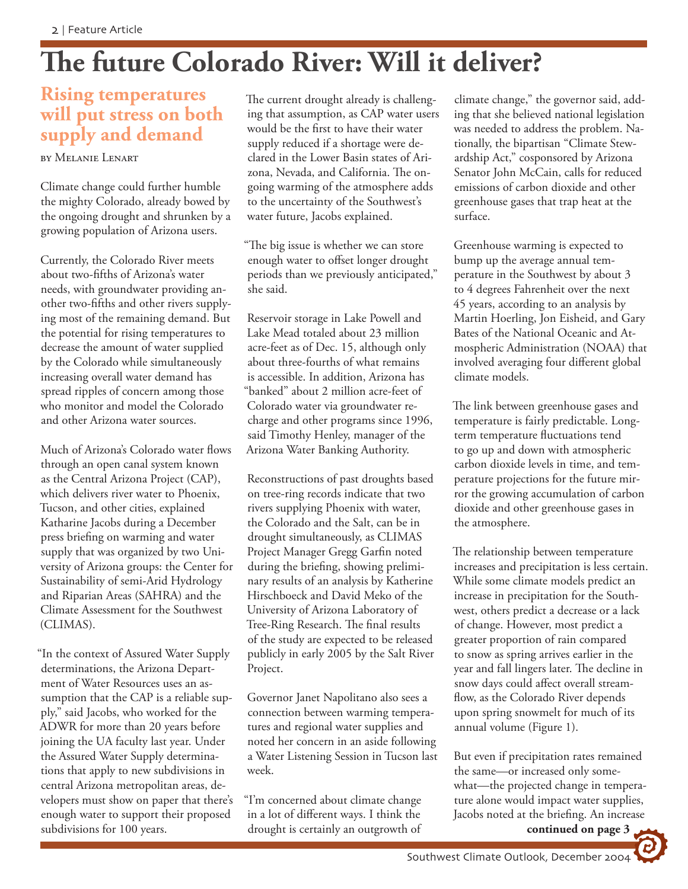# **The future Colorado River: Will it deliver?**

### **Rising temperatures will put stress on both supply and demand**

#### BY MELANIE LENART

Climate change could further humble the mighty Colorado, already bowed by the ongoing drought and shrunken by a growing population of Arizona users.

Currently, the Colorado River meets about two-fifths of Arizona's water needs, with groundwater providing another two-fifths and other rivers supplying most of the remaining demand. But the potential for rising temperatures to decrease the amount of water supplied by the Colorado while simultaneously increasing overall water demand has spread ripples of concern among those who monitor and model the Colorado and other Arizona water sources.

Much of Arizona's Colorado water flows through an open canal system known as the Central Arizona Project (CAP), which delivers river water to Phoenix, Tucson, and other cities, explained Katharine Jacobs during a December press briefing on warming and water supply that was organized by two University of Arizona groups: the Center for Sustainability of semi-Arid Hydrology and Riparian Areas (SAHRA) and the Climate Assessment for the Southwest (CLIMAS).

"In the context of Assured Water Supply determinations, the Arizona Department of Water Resources uses an assumption that the CAP is a reliable supply," said Jacobs, who worked for the ADWR for more than 20 years before joining the UA faculty last year. Under the Assured Water Supply determinations that apply to new subdivisions in central Arizona metropolitan areas, developers must show on paper that there's enough water to support their proposed subdivisions for 100 years.

The current drought already is challenging that assumption, as CAP water users would be the first to have their water supply reduced if a shortage were declared in the Lower Basin states of Arizona, Nevada, and California. The ongoing warming of the atmosphere adds to the uncertainty of the Southwest's water future, Jacobs explained.

"The big issue is whether we can store enough water to offset longer drought periods than we previously anticipated," she said.

Reservoir storage in Lake Powell and Lake Mead totaled about 23 million acre-feet as of Dec. 15, although only about three-fourths of what remains is accessible. In addition, Arizona has "banked" about 2 million acre-feet of Colorado water via groundwater recharge and other programs since 1996, said Timothy Henley, manager of the Arizona Water Banking Authority.

Reconstructions of past droughts based on tree-ring records indicate that two rivers supplying Phoenix with water, the Colorado and the Salt, can be in drought simultaneously, as CLIMAS Project Manager Gregg Garfin noted during the briefing, showing preliminary results of an analysis by Katherine Hirschboeck and David Meko of the University of Arizona Laboratory of Tree-Ring Research. The final results of the study are expected to be released publicly in early 2005 by the Salt River Project.

Governor Janet Napolitano also sees a connection between warming temperatures and regional water supplies and noted her concern in an aside following a Water Listening Session in Tucson last week.

"I'm concerned about climate change in a lot of different ways. I think the drought is certainly an outgrowth of climate change," the governor said, adding that she believed national legislation was needed to address the problem. Nationally, the bipartisan "Climate Stewardship Act," cosponsored by Arizona Senator John McCain, calls for reduced emissions of carbon dioxide and other greenhouse gases that trap heat at the surface.

Greenhouse warming is expected to bump up the average annual temperature in the Southwest by about 3 to 4 degrees Fahrenheit over the next 45 years, according to an analysis by Martin Hoerling, Jon Eisheid, and Gary Bates of the National Oceanic and Atmospheric Administration (NOAA) that involved averaging four different global climate models.

The link between greenhouse gases and temperature is fairly predictable. Longterm temperature fluctuations tend to go up and down with atmospheric carbon dioxide levels in time, and temperature projections for the future mirror the growing accumulation of carbon dioxide and other greenhouse gases in the atmosphere.

The relationship between temperature increases and precipitation is less certain. While some climate models predict an increase in precipitation for the Southwest, others predict a decrease or a lack of change. However, most predict a greater proportion of rain compared to snow as spring arrives earlier in the year and fall lingers later. The decline in snow days could affect overall streamflow, as the Colorado River depends upon spring snowmelt for much of its annual volume (Figure 1).

But even if precipitation rates remained the same—or increased only somewhat—the projected change in temperature alone would impact water supplies, Jacobs noted at the briefing. An increase

**continued on page 3**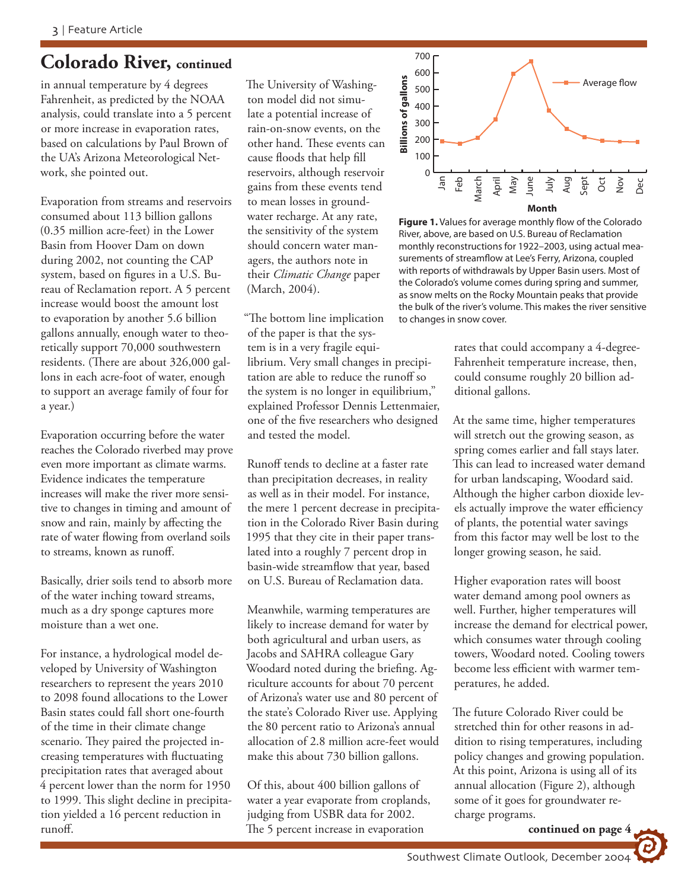## **Colorado River, continued**

in annual temperature by 4 degrees Fahrenheit, as predicted by the NOAA analysis, could translate into a 5 percent or more increase in evaporation rates, based on calculations by Paul Brown of the UA's Arizona Meteorological Network, she pointed out.

Evaporation from streams and reservoirs consumed about 113 billion gallons (0.35 million acre-feet) in the Lower Basin from Hoover Dam on down during 2002, not counting the CAP system, based on figures in a U.S. Bureau of Reclamation report. A 5 percent increase would boost the amount lost to evaporation by another 5.6 billion gallons annually, enough water to theoretically support 70,000 southwestern residents. (There are about 326,000 gallons in each acre-foot of water, enough to support an average family of four for a year.)

Evaporation occurring before the water reaches the Colorado riverbed may prove even more important as climate warms. Evidence indicates the temperature increases will make the river more sensitive to changes in timing and amount of snow and rain, mainly by affecting the rate of water flowing from overland soils to streams, known as runoff.

Basically, drier soils tend to absorb more of the water inching toward streams, much as a dry sponge captures more moisture than a wet one.

For instance, a hydrological model developed by University of Washington researchers to represent the years 2010 to 2098 found allocations to the Lower Basin states could fall short one-fourth of the time in their climate change scenario. They paired the projected increasing temperatures with fluctuating precipitation rates that averaged about 4 percent lower than the norm for 1950 to 1999. This slight decline in precipitation yielded a 16 percent reduction in runoff.

The University of Washington model did not simulate a potential increase of rain-on-snow events, on the other hand. These events can cause floods that help fill reservoirs, although reservoir gains from these events tend to mean losses in groundwater recharge. At any rate, the sensitivity of the system should concern water managers, the authors note in their *Climatic Change* paper (March, 2004).

"The bottom line implication of the paper is that the system is in a very fragile equilibrium. Very small changes in precipitation are able to reduce the runoff so the system is no longer in equilibrium," explained Professor Dennis Lettenmaier, one of the five researchers who designed and tested the model.

Runoff tends to decline at a faster rate than precipitation decreases, in reality as well as in their model. For instance, the mere 1 percent decrease in precipitation in the Colorado River Basin during 1995 that they cite in their paper translated into a roughly 7 percent drop in basin-wide streamflow that year, based on U.S. Bureau of Reclamation data.

Meanwhile, warming temperatures are likely to increase demand for water by both agricultural and urban users, as Jacobs and SAHRA colleague Gary Woodard noted during the briefing. Agriculture accounts for about 70 percent of Arizona's water use and 80 percent of the state's Colorado River use. Applying the 80 percent ratio to Arizona's annual allocation of 2.8 million acre-feet would make this about 730 billion gallons.

Of this, about 400 billion gallons of water a year evaporate from croplands, judging from USBR data for 2002. The 5 percent increase in evaporation



**Figure 1.** Values for average monthly flow of the Colorado River, above, are based on U.S. Bureau of Reclamation monthly reconstructions for 1922–2003, using actual measurements of streamflow at Lee's Ferry, Arizona, coupled with reports of withdrawals by Upper Basin users. Most of the Colorado's volume comes during spring and summer, as snow melts on the Rocky Mountain peaks that provide the bulk of the river's volume. This makes the river sensitive to changes in snow cover.

rates that could accompany a 4-degree-Fahrenheit temperature increase, then, could consume roughly 20 billion additional gallons.

At the same time, higher temperatures will stretch out the growing season, as spring comes earlier and fall stays later. This can lead to increased water demand for urban landscaping, Woodard said. Although the higher carbon dioxide levels actually improve the water efficiency of plants, the potential water savings from this factor may well be lost to the longer growing season, he said.

Higher evaporation rates will boost water demand among pool owners as well. Further, higher temperatures will increase the demand for electrical power, which consumes water through cooling towers, Woodard noted. Cooling towers become less efficient with warmer temperatures, he added.

The future Colorado River could be stretched thin for other reasons in addition to rising temperatures, including policy changes and growing population. At this point, Arizona is using all of its annual allocation (Figure 2), although some of it goes for groundwater recharge programs.